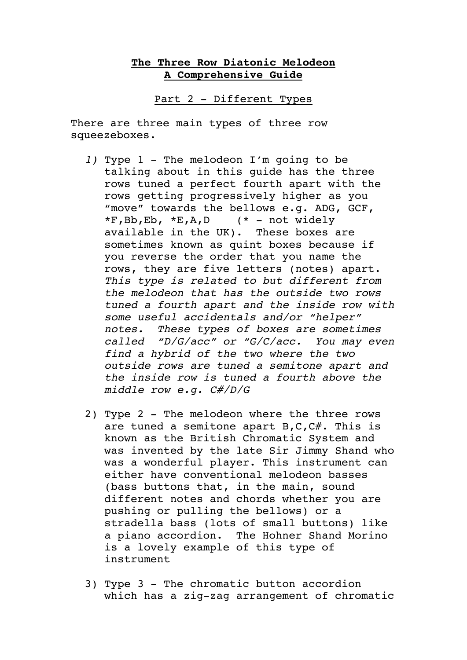## **The Three Row Diatonic Melodeon A Comprehensive Guide**

Part 2 - Different Types

There are three main types of three row squeezeboxes.

- *1)* Type 1 The melodeon I'm going to be talking about in this guide has the three rows tuned a perfect fourth apart with the rows getting progressively higher as you "move" towards the bellows e.g. ADG, GCF,  $*F$ , Bb, Eb,  $*E$ , A, D (\* - not widely available in the UK). These boxes are sometimes known as quint boxes because if you reverse the order that you name the rows, they are five letters (notes) apart. *This type is related to but different from the melodeon that has the outside two rows tuned a fourth apart and the inside row with some useful accidentals and/or "helper" notes. These types of boxes are sometimes called "D/G/acc" or "G/C/acc. You may even find a hybrid of the two where the two outside rows are tuned a semitone apart and the inside row is tuned a fourth above the middle row e.g. C#/D/G*
- 2) Type 2 The melodeon where the three rows are tuned a semitone apart  $B, C, C\#$ . This is known as the British Chromatic System and was invented by the late Sir Jimmy Shand who was a wonderful player. This instrument can either have conventional melodeon basses (bass buttons that, in the main, sound different notes and chords whether you are pushing or pulling the bellows) or a stradella bass (lots of small buttons) like a piano accordion. The Hohner Shand Morino is a lovely example of this type of instrument
- 3) Type 3 The chromatic button accordion which has a zig-zag arrangement of chromatic